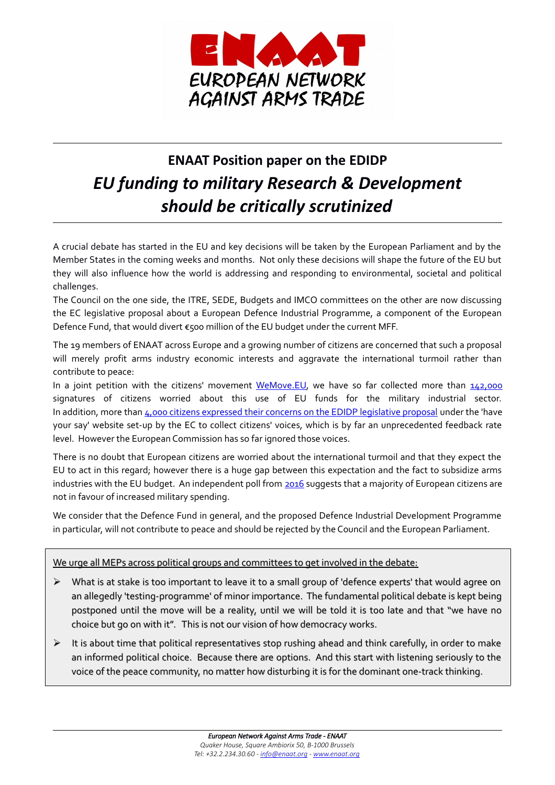

# **ENAAT Position paper on the EDIDP** *EU funding to military Research & Development should be critically scrutinized*

A crucial debate has started in the EU and key decisions will be taken by the European Parliament and by the Member States in the coming weeks and months. Not only these decisions will shape the future of the EU but they will also influence how the world is addressing and responding to environmental, societal and political challenges.

The Council on the one side, the ITRE, SEDE, Budgets and IMCO committees on the other are now discussing the EC legislative proposal about a European Defence Industrial Programme, a component of the European Defence Fund, that would divert €500 million of the EU budget under the current MFF.

The 19 members of ENAAT across Europe and a growing number of citizens are concerned that such a proposal will merely profit arms industry economic interests and aggravate the international turmoil rather than contribute to peace:

In a joint petition with the citizens' movement [WeMove.EU,](https://www.wemove.eu/mission) we have so far collected more than  $142,000$ signatures of citizens worried about this use of EU funds for the military industrial sector. In addition, more than 4,000 citizens expressed their concerns on the EDIDP legislative proposal under the 'have your say' website set-up by the EC to collect citizens' voices, which is by far an unprecedented feedback rate level. However the European Commission has so far ignored those voices.

There is no doubt that European citizens are worried about the international turmoil and that they expect the EU to act in this regard; however there is a huge gap between this expectation and the fact to subsidize arms industries with the EU budget. An independent poll from [2016](http://www.pewglobal.org/2016/06/13/europeans-wary-of-hard-power/) suggests that a majority of European citizens are not in favour of increased military spending.

We consider that the Defence Fund in general, and the proposed Defence Industrial Development Programme in particular, will not contribute to peace and should be rejected by the Council and the European Parliament.

## We urge all MEPs across political groups and committees to get involved in the debate:

- $\triangleright$  What is at stake is too important to leave it to a small group of 'defence experts' that would agree on an allegedly 'testing-programme' of minor importance. The fundamental political debate is kept being postponed until the move will be a reality, until we will be told it is too late and that "we have no choice but go on with it". This is not our vision of how democracy works.
- $\triangleright$  It is about time that political representatives stop rushing ahead and think carefully, in order to make an informed political choice. Because there are options. And this start with listening seriously to the voice of the peace community, no matter how disturbing it is for the dominant one-track thinking.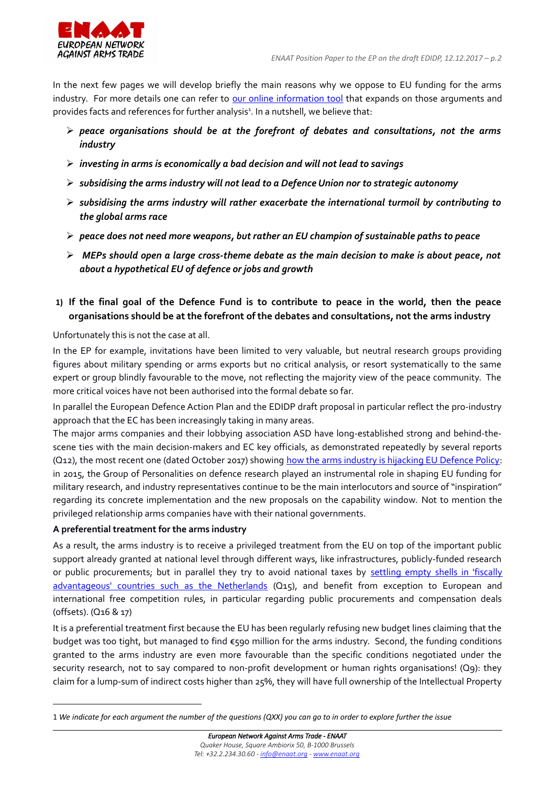

In the next few pages we will develop briefly the main reasons why we oppose to EU funding for the arms industry. For more details one can refer to [our online information tool](http://enaat.org/eu-defence-fund) that expands on those arguments and provides facts and references for further analysis<sup>[1](#page-1-0)</sup>. In a nutshell, we believe that:

- ➢ *peace organisations should be at the forefront of debates and consultations, not the arms industry*
- ➢ *investing in arms is economically a bad decision and will not lead to savings*
- ➢ *subsidising the arms industry will not lead to a Defence Union nor to strategic autonomy*
- ➢ *subsidising the arms industry will rather exacerbate the international turmoil by contributing to the global arms race*
- ➢ *peace does not need more weapons, but rather an EU champion of sustainable paths to peace*
- ➢ *MEPs should open a large cross-theme debate as the main decision to make is about peace, not about a hypothetical EU of defence or jobs and growth*
- **1) If the final goal of the Defence Fund is to contribute to peace in the world, then the peace organisations should be at the forefront of the debates and consultations, not the arms industry**

Unfortunately this is not the case at all.

In the EP for example, invitations have been limited to very valuable, but neutral research groups providing figures about military spending or arms exports but no critical analysis, or resort systematically to the same expert or group blindly favourable to the move, not reflecting the majority view of the peace community. The more critical voices have not been authorised into the formal debate so far.

In parallel the European Defence Action Plan and the EDIDP draft proposal in particular reflect the pro-industry approach that the EC has been increasingly taking in many areas.

The major arms companies and their lobbying association ASD have long-established strong and behind-thescene ties with the main decision-makers and EC key officials, as demonstrated repeatedly by several reports (Q12), the most recent one (dated October 2017) showing [how the arms industry is hijacking EU Defence Policy:](https://www.vredesactie.be/en/nieuws/how-arms-lobby-hijacking-europe%E2%80%99s-defence-policy) in 2015, the Group of Personalities on defence research played an instrumental role in shaping EU funding for military research, and industry representatives continue to be the main interlocutors and source of "inspiration" regarding its concrete implementation and the new proposals on the capability window. Not to mention the privileged relationship arms companies have with their national governments.

#### **A preferential treatment for the arms industry**

As a result, the arms industry is to receive a privileged treatment from the EU on top of the important public support already granted at national level through different ways, like infrastructures, publicly-funded research or public procurements; but in parallel they try to avoid national taxes by [settling empty shells in 'fiscally](http://www.stopwapenhandel.org/Tax2) [advantageous' countries such as the Netherlands](http://www.stopwapenhandel.org/Tax2) (Q15), and benefit from exception to European and international free competition rules, in particular regarding public procurements and compensation deals (offsets). (Q16 & 17)

It is a preferential treatment first because the EU has been regularly refusing new budget lines claiming that the budget was too tight, but managed to find €590 million for the arms industry. Second, the funding conditions granted to the arms industry are even more favourable than the specific conditions negotiated under the security research, not to say compared to non-profit development or human rights organisations! (Q9): they claim for a lump-sum of indirect costs higher than 25%, they will have full ownership of the Intellectual Property

<span id="page-1-0"></span><sup>1</sup> *We indicate for each argument the number of the questions (QXX) you can go to in order to explore further the issue*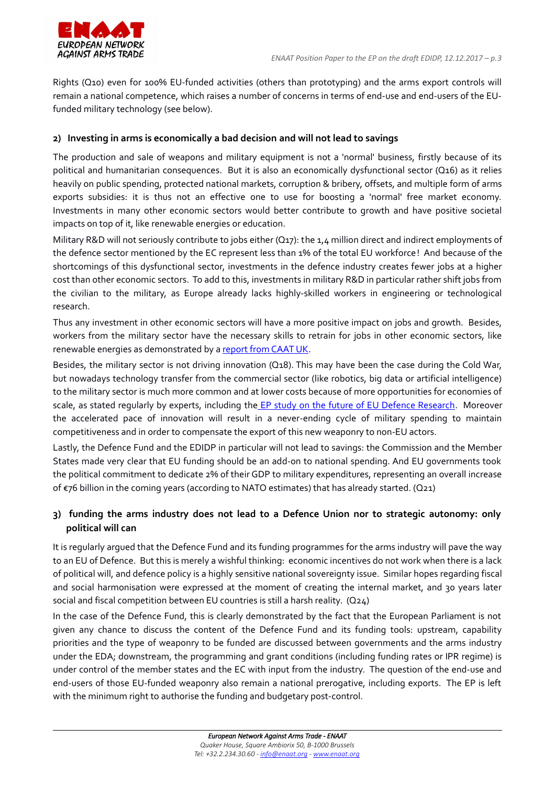

Rights (Q10) even for 100% EU-funded activities (others than prototyping) and the arms export controls will remain a national competence, which raises a number of concerns in terms of end-use and end-users of the EUfunded military technology (see below).

#### **2) Investing in arms is economically a bad decision and will not lead to savings**

The production and sale of weapons and military equipment is not a 'normal' business, firstly because of its political and humanitarian consequences. But it is also an economically dysfunctional sector (Q16) as it relies heavily on public spending, protected national markets, corruption & bribery, offsets, and multiple form of arms exports subsidies: it is thus not an effective one to use for boosting a 'normal' free market economy. Investments in many other economic sectors would better contribute to growth and have positive societal impacts on top of it, like renewable energies or education.

Military R&D will not seriously contribute to jobs either (Q17): the 1,4 million direct and indirect employments of the defence sector mentioned by the EC represent less than 1% of the total EU workforce! And because of the shortcomings of this dysfunctional sector, investments in the defence industry creates fewer jobs at a higher cost than other economic sectors. To add to this, investments in military R&D in particular rather shift jobs from the civilian to the military, as Europe already lacks highly-skilled workers in engineering or technological research.

Thus any investment in other economic sectors will have a more positive impact on jobs and growth. Besides, workers from the military sector have the necessary skills to retrain for jobs in other economic sectors, like renewable energies as demonstrated by a [report from CAAT UK.](https://www.caat.org.uk/campaigns/arms-to-renewables/arms-to-renewables-background-briefing.pdf)

Besides, the military sector is not driving innovation (Q18). This may have been the case during the Cold War, but nowadays technology transfer from the commercial sector (like robotics, big data or artificial intelligence) to the military sector is much more common and at lower costs because of more opportunities for economies of scale, as stated regularly by experts, including th[e EP study on the future of EU Defence Research.](http://www.europarl.europa.eu/RegData/etudes/STUD/2016/535003/EXPO_STU(2016)535003_EN.pdf) Moreover the accelerated pace of innovation will result in a never-ending cycle of military spending to maintain competitiveness and in order to compensate the export of this new weaponry to non-EU actors.

Lastly, the Defence Fund and the EDIDP in particular will not lead to savings: the Commission and the Member States made very clear that EU funding should be an add-on to national spending. And EU governments took the political commitment to dedicate 2% of their GDP to military expenditures, representing an overall increase of €76 billion in the coming years (according to NATO estimates) that has already started. (Q21)

## **3) funding the arms industry does not lead to a Defence Union nor to strategic autonomy: only political will can**

It is regularly argued that the Defence Fund and its funding programmes for the arms industry will pave the way to an EU of Defence. But this is merely a wishful thinking: economic incentives do not work when there is a lack of political will, and defence policy is a highly sensitive national sovereignty issue. Similar hopes regarding fiscal and social harmonisation were expressed at the moment of creating the internal market, and 30 years later social and fiscal competition between EU countries is still a harsh reality. (Q24)

In the case of the Defence Fund, this is clearly demonstrated by the fact that the European Parliament is not given any chance to discuss the content of the Defence Fund and its funding tools: upstream, capability priorities and the type of weaponry to be funded are discussed between governments and the arms industry under the EDA; downstream, the programming and grant conditions (including funding rates or IPR regime) is under control of the member states and the EC with input from the industry. The question of the end-use and end-users of those EU-funded weaponry also remain a national prerogative, including exports. The EP is left with the minimum right to authorise the funding and budgetary post-control.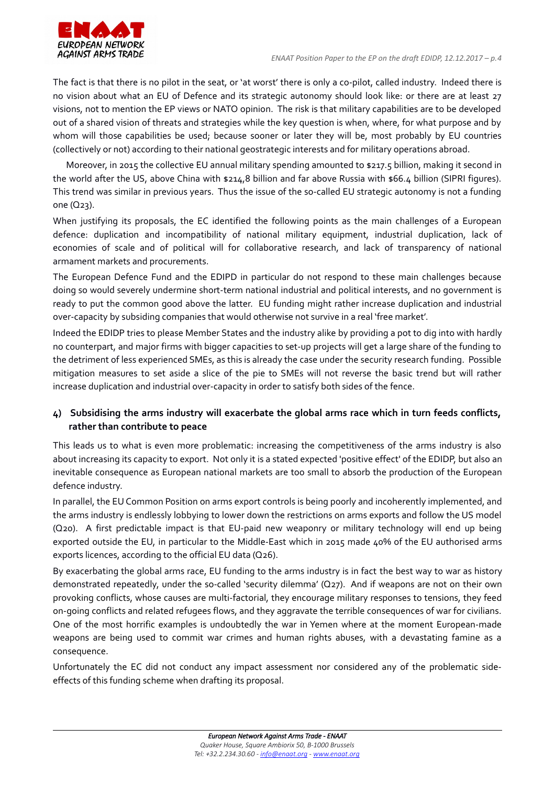

The fact is that there is no pilot in the seat, or 'at worst' there is only a co-pilot, called industry. Indeed there is no vision about what an EU of Defence and its strategic autonomy should look like: or there are at least 27 visions, not to mention the EP views or NATO opinion. The risk is that military capabilities are to be developed out of a shared vision of threats and strategies while the key question is when, where, for what purpose and by whom will those capabilities be used; because sooner or later they will be, most probably by EU countries (collectively or not) according to their national geostrategic interests and for military operations abroad.

Moreover, in 2015 the collective EU annual military spending amounted to \$217.5 billion, making it second in the world after the US, above China with \$214,8 billion and far above Russia with \$66.4 billion (SIPRI figures). This trend was similar in previous years. Thus the issue of the so-called EU strategic autonomy is not a funding one (Q23).

When justifying its proposals, the EC identified the following points as the main challenges of a European defence: duplication and incompatibility of national military equipment, industrial duplication, lack of economies of scale and of political will for collaborative research, and lack of transparency of national armament markets and procurements.

The European Defence Fund and the EDIPD in particular do not respond to these main challenges because doing so would severely undermine short-term national industrial and political interests, and no government is ready to put the common good above the latter. EU funding might rather increase duplication and industrial over-capacity by subsiding companies that would otherwise not survive in a real 'free market'.

Indeed the EDIDP tries to please Member States and the industry alike by providing a pot to dig into with hardly no counterpart, and major firms with bigger capacities to set-up projects will get a large share of the funding to the detriment of less experienced SMEs, as this is already the case under the security research funding. Possible mitigation measures to set aside a slice of the pie to SMEs will not reverse the basic trend but will rather increase duplication and industrial over-capacity in order to satisfy both sides of the fence.

## **4) Subsidising the arms industry will exacerbate the global arms race which in turn feeds conflicts, rather than contribute to peace**

This leads us to what is even more problematic: increasing the competitiveness of the arms industry is also about increasing its capacity to export. Not only it is a stated expected 'positive effect' of the EDIDP, but also an inevitable consequence as European national markets are too small to absorb the production of the European defence industry.

In parallel, the EU Common Position on arms export controls is being poorly and incoherently implemented, and the arms industry is endlessly lobbying to lower down the restrictions on arms exports and follow the US model (Q20). A first predictable impact is that EU-paid new weaponry or military technology will end up being exported outside the EU, in particular to the Middle-East which in 2015 made 40% of the EU authorised arms exports licences, according to the official EU data (Q26).

By exacerbating the global arms race, EU funding to the arms industry is in fact the best way to war as history demonstrated repeatedly, under the so-called 'security dilemma' (Q27). And if weapons are not on their own provoking conflicts, whose causes are multi-factorial, they encourage military responses to tensions, they feed on-going conflicts and related refugees flows, and they aggravate the terrible consequences of war for civilians. One of the most horrific examples is undoubtedly the war in Yemen where at the moment European-made weapons are being used to commit war crimes and human rights abuses, with a devastating famine as a consequence.

Unfortunately the EC did not conduct any impact assessment nor considered any of the problematic sideeffects of this funding scheme when drafting its proposal.